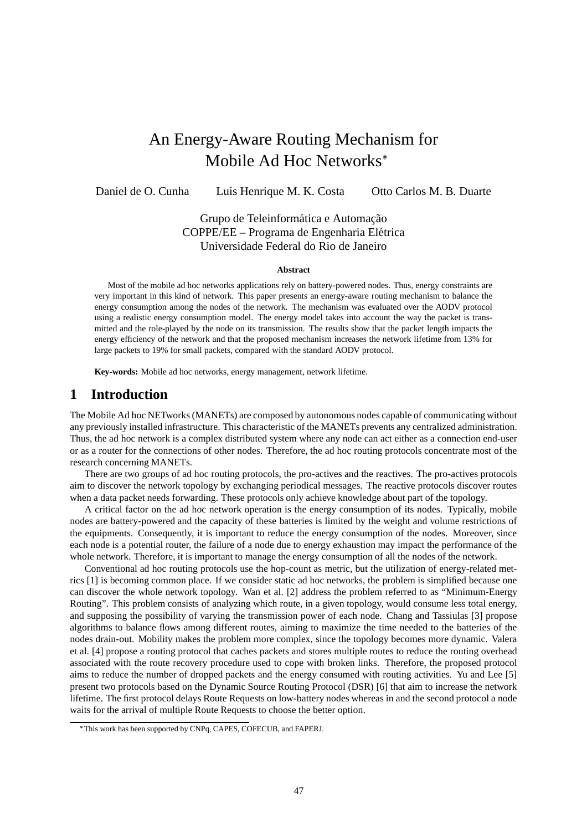# An Energy-Aware Routing Mechanism for Mobile Ad Hoc Networks

Daniel de O. Cunha Luís Henrique M. K. Costa Otto Carlos M. B. Duarte

Grupo de Teleinformática e Automação COPPE/EE – Programa de Engenharia Elétrica Universidade Federal do Rio de Janeiro

#### **Abstract**

Most of the mobile ad hoc networks applications rely on battery-powered nodes. Thus, energy constraints are very important in this kind of network. This paper presents an energy-aware routing mechanism to balance the energy consumption among the nodes of the network. The mechanism was evaluated over the AODV protocol using a realistic energy consumption model. The energy model takes into account the way the packet is transmitted and the role-played by the node on its transmission. The results show that the packet length impacts the energy efficiency of the network and that the proposed mechanism increases the network lifetime from 13% for large packets to 19% for small packets, compared with the standard AODV protocol.

**Key-words:** Mobile ad hoc networks, energy management, network lifetime.

### **1 Introduction**

The Mobile Ad hoc NETworks (MANETs) are composed by autonomous nodes capable of communicating without any previously installed infrastructure. This characteristic of the MANETs prevents any centralized administration. Thus, the ad hoc network is a complex distributed system where any node can act either as a connection end-user or as a router for the connections of other nodes. Therefore, the ad hoc routing protocols concentrate most of the research concerning MANETs.

There are two groups of ad hoc routing protocols, the pro-actives and the reactives. The pro-actives protocols aim to discover the network topology by exchanging periodical messages. The reactive protocols discover routes when a data packet needs forwarding. These protocols only achieve knowledge about part of the topology.

A critical factor on the ad hoc network operation is the energy consumption of its nodes. Typically, mobile nodes are battery-powered and the capacity of these batteries is limited by the weight and volume restrictions of the equipments. Consequently, it is important to reduce the energy consumption of the nodes. Moreover, since each node is a potential router, the failure of a node due to energy exhaustion may impact the performance of the whole network. Therefore, it is important to manage the energy consumption of all the nodes of the network.

Conventional ad hoc routing protocols use the hop-count as metric, but the utilization of energy-related metrics [1] is becoming common place. If we consider static ad hoc networks, the problem is simplified because one can discover the whole network topology. Wan et al. [2] address the problem referred to as "Minimum-Energy Routing". This problem consists of analyzing which route, in a given topology, would consume less total energy, and supposing the possibility of varying the transmission power of each node. Chang and Tassiulas [3] propose algorithms to balance flows among different routes, aiming to maximize the time needed to the batteries of the nodes drain-out. Mobility makes the problem more complex, since the topology becomes more dynamic. Valera et al. [4] propose a routing protocol that caches packets and stores multiple routes to reduce the routing overhead associated with the route recovery procedure used to cope with broken links. Therefore, the proposed protocol aims to reduce the number of dropped packets and the energy consumed with routing activities. Yu and Lee [5] present two protocols based on the Dynamic Source Routing Protocol (DSR) [6] that aim to increase the network lifetime. The first protocol delays Route Requests on low-battery nodes whereas in and the second protocol a node waits for the arrival of multiple Route Requests to choose the better option.

This work has been supported by CNPq, CAPES, COFECUB, and FAPERJ.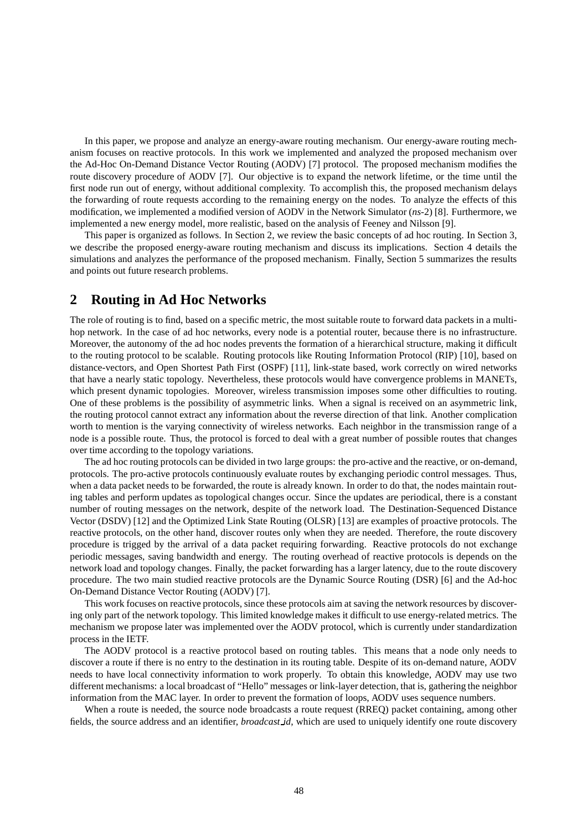In this paper, we propose and analyze an energy-aware routing mechanism. Our energy-aware routing mechanism focuses on reactive protocols. In this work we implemented and analyzed the proposed mechanism over the Ad-Hoc On-Demand Distance Vector Routing (AODV) [7] protocol. The proposed mechanism modifies the route discovery procedure of AODV [7]. Our objective is to expand the network lifetime, or the time until the first node run out of energy, without additional complexity. To accomplish this, the proposed mechanism delays the forwarding of route requests according to the remaining energy on the nodes. To analyze the effects of this modification, we implemented a modified version of AODV in the Network Simulator (*ns*-2) [8]. Furthermore, we implemented a new energy model, more realistic, based on the analysis of Feeney and Nilsson [9].

This paper is organized as follows. In Section 2, we review the basic concepts of ad hoc routing. In Section 3, we describe the proposed energy-aware routing mechanism and discuss its implications. Section 4 details the simulations and analyzes the performance of the proposed mechanism. Finally, Section 5 summarizes the results and points out future research problems.

### **2 Routing in Ad Hoc Networks**

The role of routing is to find, based on a specific metric, the most suitable route to forward data packets in a multihop network. In the case of ad hoc networks, every node is a potential router, because there is no infrastructure. Moreover, the autonomy of the ad hoc nodes prevents the formation of a hierarchical structure, making it difficult to the routing protocol to be scalable. Routing protocols like Routing Information Protocol (RIP) [10], based on distance-vectors, and Open Shortest Path First (OSPF) [11], link-state based, work correctly on wired networks that have a nearly static topology. Nevertheless, these protocols would have convergence problems in MANETs, which present dynamic topologies. Moreover, wireless transmission imposes some other difficulties to routing. One of these problems is the possibility of asymmetric links. When a signal is received on an asymmetric link, the routing protocol cannot extract any information about the reverse direction of that link. Another complication worth to mention is the varying connectivity of wireless networks. Each neighbor in the transmission range of a node is a possible route. Thus, the protocol is forced to deal with a great number of possible routes that changes over time according to the topology variations.

The ad hoc routing protocols can be divided in two large groups: the pro-active and the reactive, or on-demand, protocols. The pro-active protocols continuously evaluate routes by exchanging periodic control messages. Thus, when a data packet needs to be forwarded, the route is already known. In order to do that, the nodes maintain routing tables and perform updates as topological changes occur. Since the updates are periodical, there is a constant number of routing messages on the network, despite of the network load. The Destination-Sequenced Distance Vector (DSDV) [12] and the Optimized Link State Routing (OLSR) [13] are examples of proactive protocols. The reactive protocols, on the other hand, discover routes only when they are needed. Therefore, the route discovery procedure is trigged by the arrival of a data packet requiring forwarding. Reactive protocols do not exchange periodic messages, saving bandwidth and energy. The routing overhead of reactive protocols is depends on the network load and topology changes. Finally, the packet forwarding has a larger latency, due to the route discovery procedure. The two main studied reactive protocols are the Dynamic Source Routing (DSR) [6] and the Ad-hoc On-Demand Distance Vector Routing (AODV) [7].

This work focuses on reactive protocols, since these protocols aim at saving the network resources by discovering only part of the network topology. This limited knowledge makes it difficult to use energy-related metrics. The mechanism we propose later was implemented over the AODV protocol, which is currently under standardization process in the IETF.

The AODV protocol is a reactive protocol based on routing tables. This means that a node only needs to discover a route if there is no entry to the destination in its routing table. Despite of its on-demand nature, AODV needs to have local connectivity information to work properly. To obtain this knowledge, AODV may use two different mechanisms: a local broadcast of "Hello" messages or link-layer detection, that is, gathering the neighbor information from the MAC layer. In order to prevent the formation of loops, AODV uses sequence numbers.

When a route is needed, the source node broadcasts a route request (RREQ) packet containing, among other fields, the source address and an identifier, *broadcast id*, which are used to uniquely identify one route discovery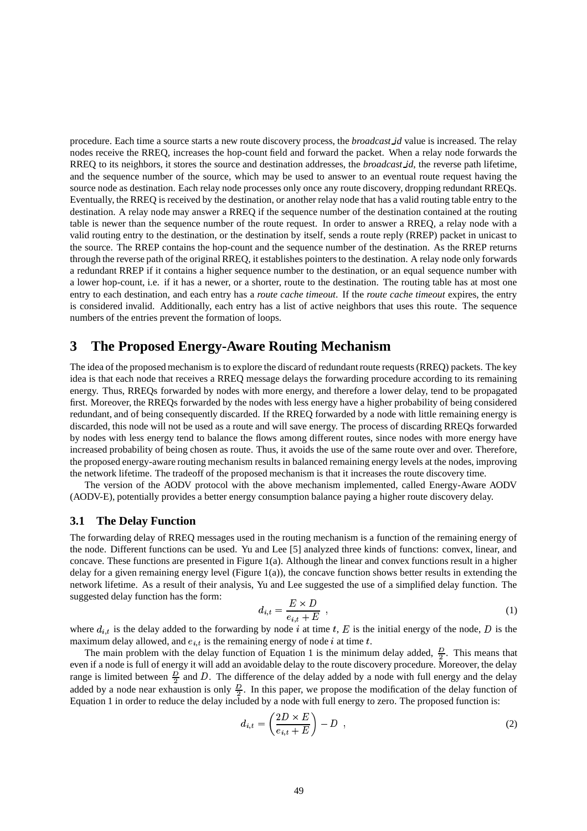procedure. Each time a source starts a new route discovery process, the *broadcast id* value is increased. The relay nodes receive the RREQ, increases the hop-count field and forward the packet. When a relay node forwards the RREQ to its neighbors, it stores the source and destination addresses, the *broadcast id*, the reverse path lifetime, and the sequence number of the source, which may be used to answer to an eventual route request having the source node as destination. Each relay node processes only once any route discovery, dropping redundant RREQs. Eventually, the RREQ is received by the destination, or another relay node that has a valid routing table entry to the destination. A relay node may answer a RREQ if the sequence number of the destination contained at the routing table is newer than the sequence number of the route request. In order to answer a RREQ, a relay node with a valid routing entry to the destination, or the destination by itself, sends a route reply (RREP) packet in unicast to the source. The RREP contains the hop-count and the sequence number of the destination. As the RREP returns through the reverse path of the original RREQ, it establishes pointersto the destination. A relay node only forwards a redundant RREP if it contains a higher sequence number to the destination, or an equal sequence number with a lower hop-count, i.e. if it has a newer, or a shorter, route to the destination. The routing table has at most one entry to each destination, and each entry has a *route cache timeout*. If the *route cache timeout* expires, the entry is considered invalid. Additionally, each entry has a list of active neighbors that uses this route. The sequence numbers of the entries prevent the formation of loops.

### **3 The Proposed Energy-Aware Routing Mechanism**

The idea of the proposed mechanism is to explore the discard of redundant route requests (RREQ) packets. The key idea is that each node that receives a RREQ message delays the forwarding procedure according to its remaining energy. Thus, RREQs forwarded by nodes with more energy, and therefore a lower delay, tend to be propagated first. Moreover, the RREQs forwarded by the nodes with less energy have a higher probability of being considered redundant, and of being consequently discarded. If the RREQ forwarded by a node with little remaining energy is discarded, this node will not be used as a route and will save energy. The process of discarding RREQs forwarded by nodes with less energy tend to balance the flows among different routes, since nodes with more energy have increased probability of being chosen as route. Thus, it avoids the use of the same route over and over. Therefore, the proposed energy-aware routing mechanism results in balanced remaining energy levels at the nodes, improving the network lifetime. The tradeoff of the proposed mechanism is that it increases the route discovery time.

The version of the AODV protocol with the above mechanism implemented, called Energy-Aware AODV (AODV-E), potentially provides a better energy consumption balance paying a higher route discovery delay.

### **3.1 The Delay Function**

The forwarding delay of RREQ messages used in the routing mechanism is a function of the remaining energy of the node. Different functions can be used. Yu and Lee [5] analyzed three kinds of functions: convex, linear, and concave. These functions are presented in Figure 1(a). Although the linear and convex functions result in a higher delay for a given remaining energy level (Figure 1(a)), the concave function shows better results in extending the network lifetime. As a result of their analysis, Yu and Lee suggested the use of a simplified delay function. The suggested delay function has the form:

$$
d_{i,t} = \frac{E \times D}{e_{i,t} + E} \t\t(1)
$$

where  $d_{i,t}$  is the delay added to the forwarding by node i at time t, E is the initial energy of the node, D is the maximum delay allowed, and  $e_{i,t}$  is the remaining energy of node  $i$  at time  $t$ .

The main problem with the delay function of Equation 1 is the minimum delay added,  $\frac{D}{2}$ . This means that even if a node is full of energy it will add an avoidable delay to the route discovery procedure. Moreover, the delay range is limited between  $\frac{D}{2}$  and D. The difference of the delay added by a node with full energy and the delay added by a node near exhaustion is only  $\frac{D}{2}$ . In this paper, we propose the modification of the delay function of Equation 1 in order to reduce the delay included by a node with full energy to zero. The proposed function is:

$$
d_{i,t} = \left(\frac{2D \times E}{e_{i,t} + E}\right) - D \t{,} \t(2)
$$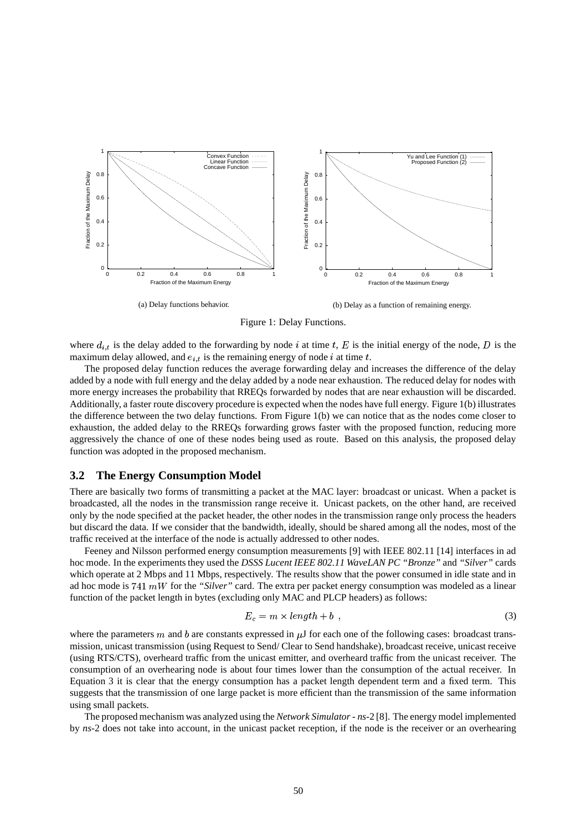

Figure 1: Delay Functions.

where  $d_{i,t}$  is the delay added to the forwarding by node i at time t, E is the initial energy of the node, D is the maximum delay allowed, and  $e_{i,t}$  is the remaining energy of node  $i$  at time  $t$ .

The proposed delay function reduces the average forwarding delay and increases the difference of the delay added by a node with full energy and the delay added by a node near exhaustion. The reduced delay for nodes with more energy increases the probability that RREQs forwarded by nodes that are near exhaustion will be discarded. Additionally, a faster route discovery procedure is expected when the nodes have full energy. Figure 1(b) illustrates the difference between the two delay functions. From Figure 1(b) we can notice that as the nodes come closer to exhaustion, the added delay to the RREQs forwarding grows faster with the proposed function, reducing more aggressively the chance of one of these nodes being used as route. Based on this analysis, the proposed delay function was adopted in the proposed mechanism.

#### **3.2 The Energy Consumption Model**

There are basically two forms of transmitting a packet at the MAC layer: broadcast or unicast. When a packet is broadcasted, all the nodes in the transmission range receive it. Unicast packets, on the other hand, are received only by the node specified at the packet header, the other nodes in the transmission range only process the headers but discard the data. If we consider that the bandwidth, ideally, should be shared among all the nodes, most of the traffic received at the interface of the node is actually addressed to other nodes.

Feeney and Nilsson performed energy consumption measurements [9] with IEEE 802.11 [14] interfaces in ad hoc mode. In the experiments they used the *DSSS Lucent IEEE 802.11 WaveLAN PC "Bronze"* and *"Silver"* cards which operate at 2 Mbps and 11 Mbps, respectively. The results show that the power consumed in idle state and in ad hoc mode is  $741 \, mW$  for the *"Silver"* card. The extra per packet energy consumption was modeled as a linear function of the packet length in bytes (excluding only MAC and PLCP headers) as follows:

$$
E_c = m \times length + b \tag{3}
$$

where the parameters  $m$  and  $b$  are constants expressed in  $\mu$ J for each one of the following cases: broadcast transmission, unicast transmission (using Request to Send/ Clear to Send handshake), broadcast receive, unicast receive (using RTS/CTS), overheard traffic from the unicast emitter, and overheard traffic from the unicast receiver. The consumption of an overhearing node is about four times lower than the consumption of the actual receiver. In Equation 3 it is clear that the energy consumption has a packet length dependent term and a fixed term. This suggests that the transmission of one large packet is more efficient than the transmission of the same information using small packets.

The proposed mechanism was analyzed using the *Network Simulator* - *ns*-2 [8]. The energy model implemented by *ns*-2 does not take into account, in the unicast packet reception, if the node is the receiver or an overhearing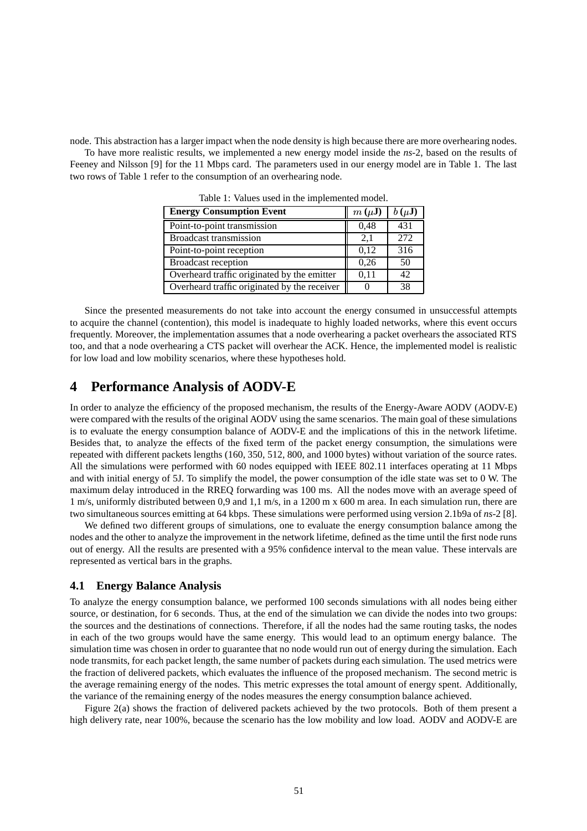node. This abstraction has a larger impact when the node density is high because there are more overhearing nodes.

To have more realistic results, we implemented a new energy model inside the *ns*-2, based on the results of Feeney and Nilsson [9] for the 11 Mbps card. The parameters used in our energy model are in Table 1. The last two rows of Table 1 refer to the consumption of an overhearing node.

| <b>Energy Consumption Event</b>              | $m(\mu J)$        | $b(\mu J)$      |
|----------------------------------------------|-------------------|-----------------|
| Point-to-point transmission                  | 0,48              | 431             |
| <b>Broadcast transmission</b>                | 2,1               | 272             |
| Point-to-point reception                     | 0,12              | 316             |
| <b>Broadcast reception</b>                   | 0,26              | 50              |
| Overheard traffic originated by the emitter  | 0,11              | 42 <sub>1</sub> |
| Overheard traffic originated by the receiver | $\mathbf{\Omega}$ | 38              |

Table 1: Values used in the implemented model.

Since the presented measurements do not take into account the energy consumed in unsuccessful attempts to acquire the channel (contention), this model is inadequate to highly loaded networks, where this event occurs frequently. Moreover, the implementation assumes that a node overhearing a packet overhears the associated RTS too, and that a node overhearing a CTS packet will overhear the ACK. Hence, the implemented model is realistic for low load and low mobility scenarios, where these hypotheses hold.

## **4 Performance Analysis of AODV-E**

In order to analyze the efficiency of the proposed mechanism, the results of the Energy-Aware AODV (AODV-E) were compared with the results of the original AODV using the same scenarios. The main goal of these simulations is to evaluate the energy consumption balance of AODV-E and the implications of this in the network lifetime. Besides that, to analyze the effects of the fixed term of the packet energy consumption, the simulations were repeated with different packets lengths (160, 350, 512, 800, and 1000 bytes) without variation of the source rates. All the simulations were performed with 60 nodes equipped with IEEE 802.11 interfaces operating at 11 Mbps and with initial energy of 5J. To simplify the model, the power consumption of the idle state was set to 0 W. The maximum delay introduced in the RREQ forwarding was 100 ms. All the nodes move with an average speed of 1 m/s, uniformly distributed between 0,9 and 1,1 m/s, in a 1200 m x 600 m area. In each simulation run, there are two simultaneous sources emitting at 64 kbps. These simulations were performed using version 2.1b9a of *ns*-2 [8].

We defined two different groups of simulations, one to evaluate the energy consumption balance among the nodes and the other to analyze the improvement in the network lifetime, defined as the time until the first node runs out of energy. All the results are presented with a 95% confidence interval to the mean value. These intervals are represented as vertical bars in the graphs.

### **4.1 Energy Balance Analysis**

To analyze the energy consumption balance, we performed 100 seconds simulations with all nodes being either source, or destination, for 6 seconds. Thus, at the end of the simulation we can divide the nodes into two groups: the sources and the destinations of connections. Therefore, if all the nodes had the same routing tasks, the nodes in each of the two groups would have the same energy. This would lead to an optimum energy balance. The simulation time was chosen in order to guarantee that no node would run out of energy during the simulation. Each node transmits, for each packet length, the same number of packets during each simulation. The used metrics were the fraction of delivered packets, which evaluates the influence of the proposed mechanism. The second metric is the average remaining energy of the nodes. This metric expresses the total amount of energy spent. Additionally, the variance of the remaining energy of the nodes measures the energy consumption balance achieved.

Figure 2(a) shows the fraction of delivered packets achieved by the two protocols. Both of them present a high delivery rate, near 100%, because the scenario has the low mobility and low load. AODV and AODV-E are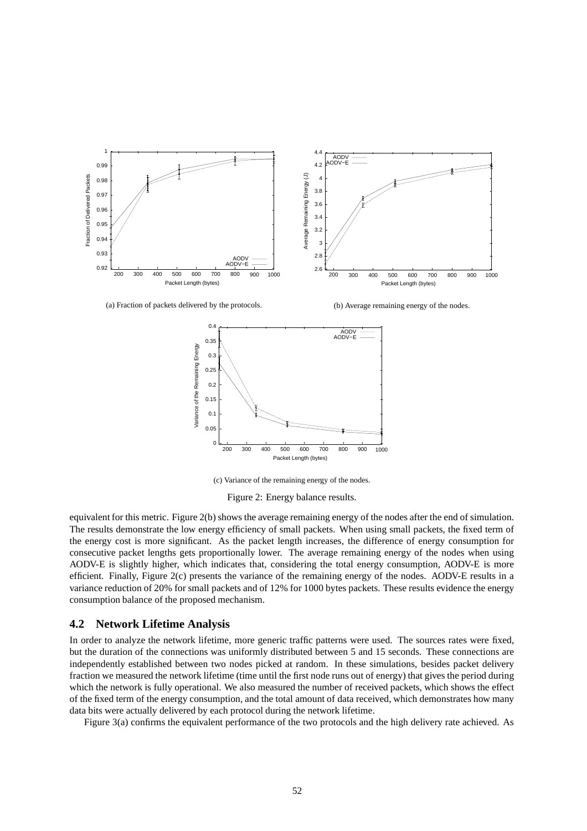

(a) Fraction of packets delivered by the protocols.

(b) Average remaining energy of the nodes.



(c) Variance of the remaining energy of the nodes.

Figure 2: Energy balance results.

equivalent for this metric. Figure 2(b) shows the average remaining energy of the nodes after the end of simulation. The results demonstrate the low energy efficiency of small packets. When using small packets, the fixed term of the energy cost is more significant. As the packet length increases, the difference of energy consumption for consecutive packet lengths gets proportionally lower. The average remaining energy of the nodes when using AODV-E is slightly higher, which indicates that, considering the total energy consumption, AODV-E is more efficient. Finally, Figure 2(c) presents the variance of the remaining energy of the nodes. AODV-E results in a variance reduction of 20% for small packets and of 12% for 1000 bytes packets. These results evidence the energy consumption balance of the proposed mechanism.

#### **4.2 Network Lifetime Analysis**

In order to analyze the network lifetime, more generic traffic patterns were used. The sources rates were fixed, but the duration of the connections was uniformly distributed between 5 and 15 seconds. These connections are independently established between two nodes picked at random. In these simulations, besides packet delivery fraction we measured the network lifetime (time until the first node runs out of energy) that gives the period during which the network is fully operational. We also measured the number of received packets, which shows the effect of the fixed term of the energy consumption, and the total amount of data received, which demonstrates how many data bits were actually delivered by each protocol during the network lifetime.

Figure 3(a) confirms the equivalent performance of the two protocols and the high delivery rate achieved. As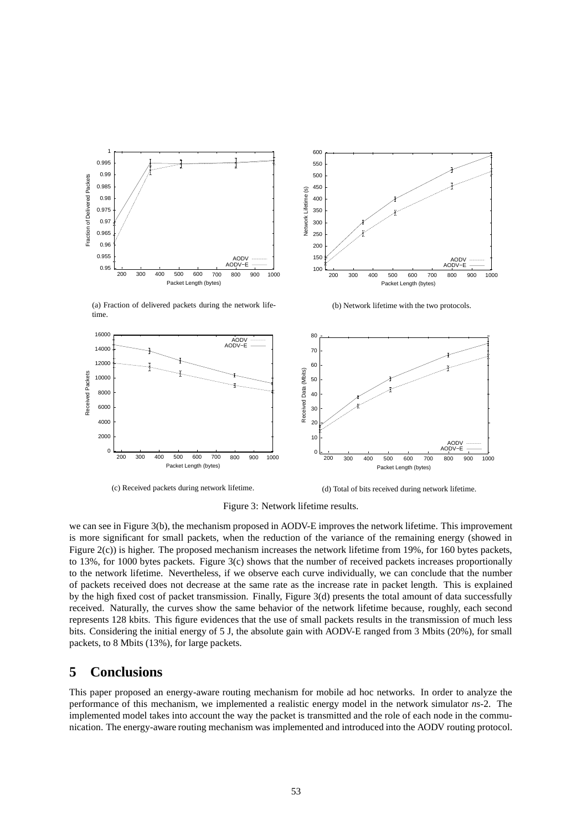

200 300 400 500 600 700 800 900 1000 Packet Length (bytes) AODV AODV−E

(b) Network lifetime with the two protocols.

(a) Fraction of delivered packets during the network lifetime.



(c) Received packets during network lifetime.

(d) Total of bits received during network lifetime.

Figure 3: Network lifetime results.

we can see in Figure 3(b), the mechanism proposed in AODV-E improves the network lifetime. This improvement is more significant for small packets, when the reduction of the variance of the remaining energy (showed in Figure 2(c)) is higher. The proposed mechanism increases the network lifetime from 19%, for 160 bytes packets, to 13%, for 1000 bytes packets. Figure 3(c) shows that the number of received packets increases proportionally to the network lifetime. Nevertheless, if we observe each curve individually, we can conclude that the number of packets received does not decrease at the same rate as the increase rate in packet length. This is explained by the high fixed cost of packet transmission. Finally, Figure 3(d) presents the total amount of data successfully received. Naturally, the curves show the same behavior of the network lifetime because, roughly, each second represents 128 kbits. This figure evidences that the use of small packets results in the transmission of much less bits. Considering the initial energy of 5 J, the absolute gain with AODV-E ranged from 3 Mbits (20%), for small packets, to 8 Mbits (13%), for large packets.

# **5 Conclusions**

This paper proposed an energy-aware routing mechanism for mobile ad hoc networks. In order to analyze the performance of this mechanism, we implemented a realistic energy model in the network simulator *ns*-2. The implemented model takes into account the way the packet is transmitted and the role of each node in the communication. The energy-aware routing mechanism was implemented and introduced into the AODV routing protocol.